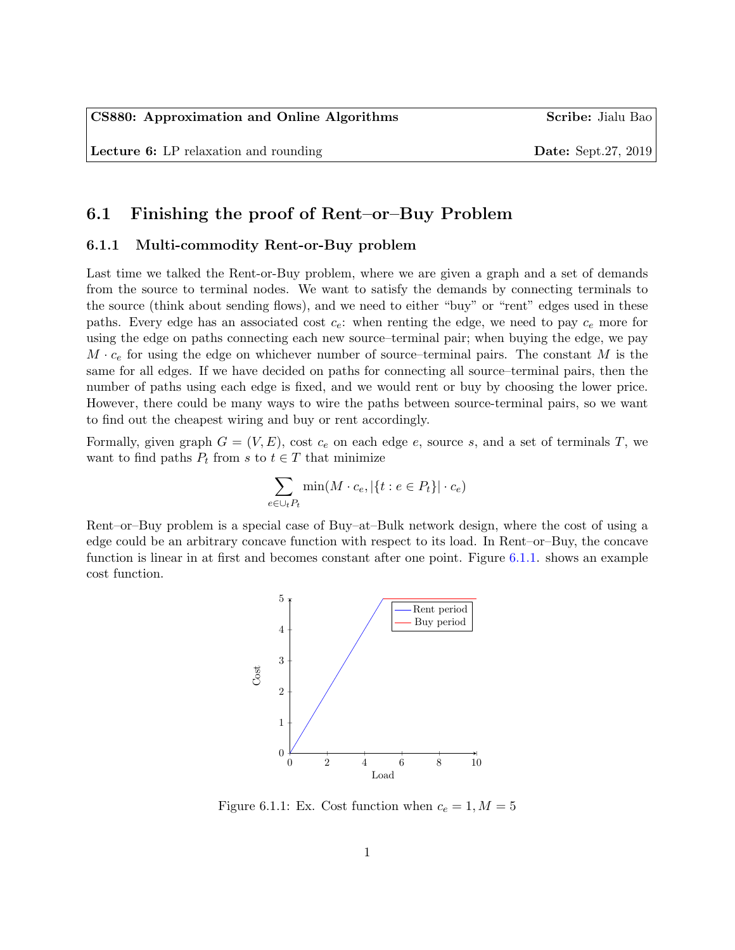# 6.1 Finishing the proof of Rent–or–Buy Problem

### 6.1.1 Multi-commodity Rent-or-Buy problem

Last time we talked the Rent-or-Buy problem, where we are given a graph and a set of demands from the source to terminal nodes. We want to satisfy the demands by connecting terminals to the source (think about sending flows), and we need to either "buy" or "rent" edges used in these paths. Every edge has an associated cost  $c_e$ : when renting the edge, we need to pay  $c_e$  more for using the edge on paths connecting each new source–terminal pair; when buying the edge, we pay  $M \cdot c_e$  for using the edge on whichever number of source–terminal pairs. The constant M is the same for all edges. If we have decided on paths for connecting all source–terminal pairs, then the number of paths using each edge is fixed, and we would rent or buy by choosing the lower price. However, there could be many ways to wire the paths between source-terminal pairs, so we want to find out the cheapest wiring and buy or rent accordingly.

Formally, given graph  $G = (V, E)$ , cost  $c_e$  on each edge e, source s, and a set of terminals T, we want to find paths  $P_t$  from s to  $t \in T$  that minimize

$$
\sum_{e \in \cup_t P_t} \min(M \cdot c_e, |\{t : e \in P_t\}| \cdot c_e)
$$

Rent–or–Buy problem is a special case of Buy–at–Bulk network design, where the cost of using a edge could be an arbitrary concave function with respect to its load. In Rent–or–Buy, the concave function is linear in at first and becomes constant after one point. Figure [6.1.1.](#page-0-0) shows an example cost function.



<span id="page-0-0"></span>Figure 6.1.1: Ex. Cost function when  $c_e = 1, M = 5$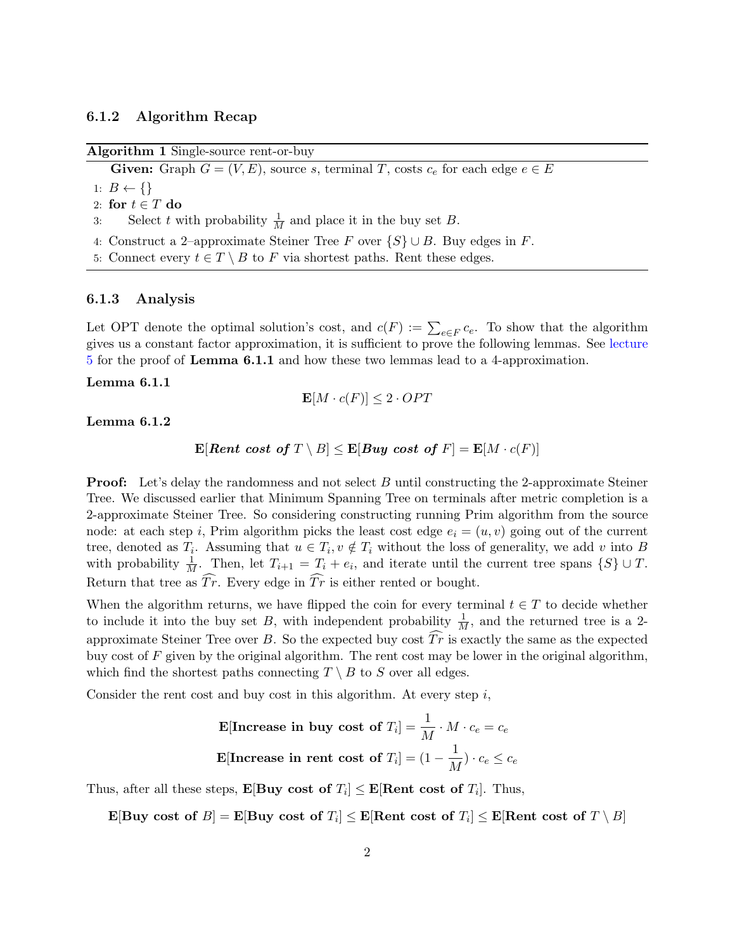### 6.1.2 Algorithm Recap

#### Algorithm 1 Single-source rent-or-buy

**Given:** Graph  $G = (V, E)$ , source s, terminal T, costs  $c_e$  for each edge  $e \in E$ 

1:  $B \leftarrow \{\}$ 

- 2: for  $t \in T$  do
- 3: Select t with probability  $\frac{1}{M}$  and place it in the buy set B.
- 4: Construct a 2–approximate Steiner Tree F over  $\{S\} \cup B$ . Buy edges in F.
- 5: Connect every  $t \in T \setminus B$  to F via shortest paths. Rent these edges.

#### 6.1.3 Analysis

Let OPT denote the optimal solution's cost, and  $c(F) := \sum_{e \in F} c_e$ . To show that the algorithm gives us a constant factor approximation, it is sufficient to prove the following lemmas. See [lecture](http://pages.cs.wisc.edu/~shuchi/courses/880-F19/scribe-notes/lecture5-draft.pdf) [5](http://pages.cs.wisc.edu/~shuchi/courses/880-F19/scribe-notes/lecture5-draft.pdf) for the proof of Lemma 6.1.1 and how these two lemmas lead to a 4-approximation.

#### Lemma 6.1.1

$$
\mathbf{E}[M \cdot c(F)] \le 2 \cdot OPT
$$

#### Lemma 6.1.2

 $\mathbf{E}[Rent \; cost \; of \; T \setminus B] \leq \mathbf{E}[Buy \; cost \; of \; F] = \mathbf{E}[M \cdot c(F)]$ 

**Proof:** Let's delay the randomness and not select B until constructing the 2-approximate Steiner Tree. We discussed earlier that Minimum Spanning Tree on terminals after metric completion is a 2-approximate Steiner Tree. So considering constructing running Prim algorithm from the source node: at each step i, Prim algorithm picks the least cost edge  $e_i = (u, v)$  going out of the current tree, denoted as  $T_i$ . Assuming that  $u \in T_i$ ,  $v \notin T_i$  without the loss of generality, we add v into B with probability  $\frac{1}{M}$ . Then, let  $T_{i+1} = T_i + e_i$ , and iterate until the current tree spans  $\{S\} \cup T$ . Return that tree as  $\widehat{Tr}$ . Every edge in  $\widehat{Tr}$  is either rented or bought.

When the algorithm returns, we have flipped the coin for every terminal  $t \in T$  to decide whether to include it into the buy set B, with independent probability  $\frac{1}{M}$ , and the returned tree is a 2approximate Steiner Tree over B. So the expected buy cost  $Tr$  is exactly the same as the expected buy cost of  $F$  given by the original algorithm. The rent cost may be lower in the original algorithm, which find the shortest paths connecting  $T \setminus B$  to S over all edges.

Consider the rent cost and buy cost in this algorithm. At every step  $i$ ,

**E[Increase in buy cost of** 
$$
T_i
$$
] =  $\frac{1}{M} \cdot M \cdot c_e = c_e$   
**E[Increase in rent cost of**  $T_i$ ] =  $(1 - \frac{1}{M}) \cdot c_e \le c_e$ 

Thus, after all these steps,  $\mathbf{E}[\text{Buy cost of } T_i] \leq \mathbf{E}[\text{Rent cost of } T_i]$ . Thus,

 $\mathbf{E}[\mathbf{B} \mathbf{u} \mathbf{y} \; \mathbf{c}$ ost of  $E[\mathbf{B} \mathbf{u} \mathbf{y} \; \mathbf{c}$ ost of  $T_i] \leq \mathbf{E}[\mathbf{R} \mathbf{e} \mathbf{n} \mathbf{t} \; \mathbf{c} \mathbf{n} \mathbf{s} \mathbf{t} \; \mathbf{f} \; \mathbf{f} \; \mathbf{b}]$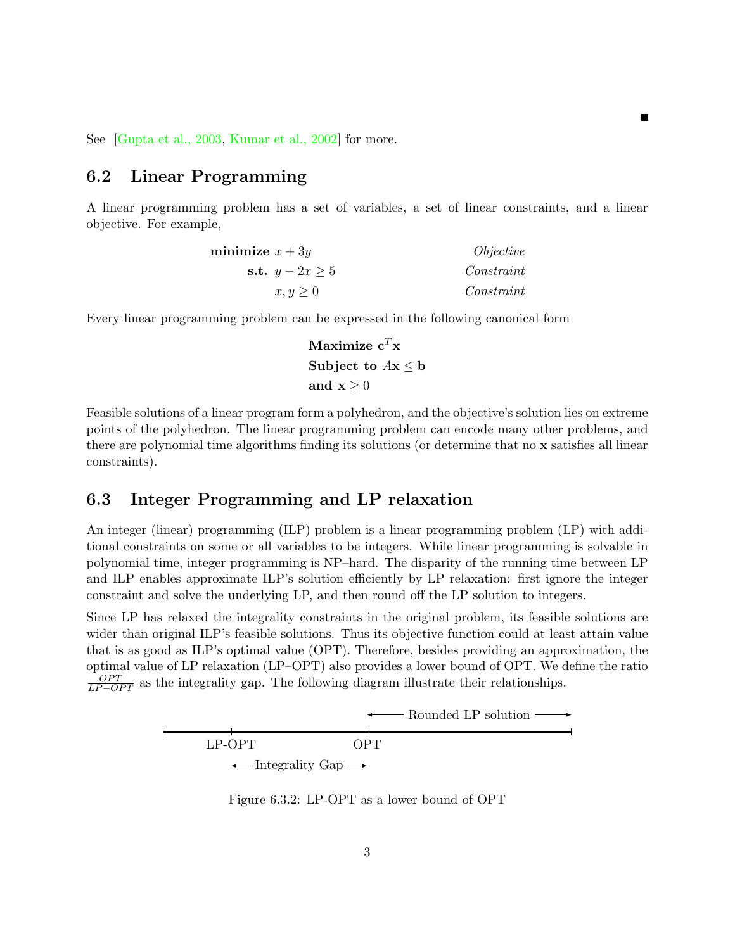See [\[Gupta et al., 2003,](#page-6-0) [Kumar et al., 2002\]](#page-6-1) for more.

# 6.2 Linear Programming

A linear programming problem has a set of variables, a set of linear constraints, and a linear objective. For example,

Е

| minimize $x + 3y$   | <i>Objective</i> |
|---------------------|------------------|
| s.t. $y - 2x \ge 5$ | Constraint       |
| $x, y \geq 0$       | Constant         |

Every linear programming problem can be expressed in the following canonical form

Maximize 
$$
c^T x
$$
  
Subject to  $Ax \leq b$   
and  $x \geq 0$ 

Feasible solutions of a linear program form a polyhedron, and the objective's solution lies on extreme points of the polyhedron. The linear programming problem can encode many other problems, and there are polynomial time algorithms finding its solutions (or determine that no x satisfies all linear constraints).

# 6.3 Integer Programming and LP relaxation

An integer (linear) programming (ILP) problem is a linear programming problem (LP) with additional constraints on some or all variables to be integers. While linear programming is solvable in polynomial time, integer programming is NP–hard. The disparity of the running time between LP and ILP enables approximate ILP's solution efficiently by LP relaxation: first ignore the integer constraint and solve the underlying LP, and then round off the LP solution to integers.

Since LP has relaxed the integrality constraints in the original problem, its feasible solutions are wider than original ILP's feasible solutions. Thus its objective function could at least attain value that is as good as ILP's optimal value (OPT). Therefore, besides providing an approximation, the optimal value of LP relaxation (LP–OPT) also provides a lower bound of OPT. We define the ratio  $\frac{OPT}{LP-OPT}$  as the integrality gap. The following diagram illustrate their relationships.



Figure 6.3.2: LP-OPT as a lower bound of OPT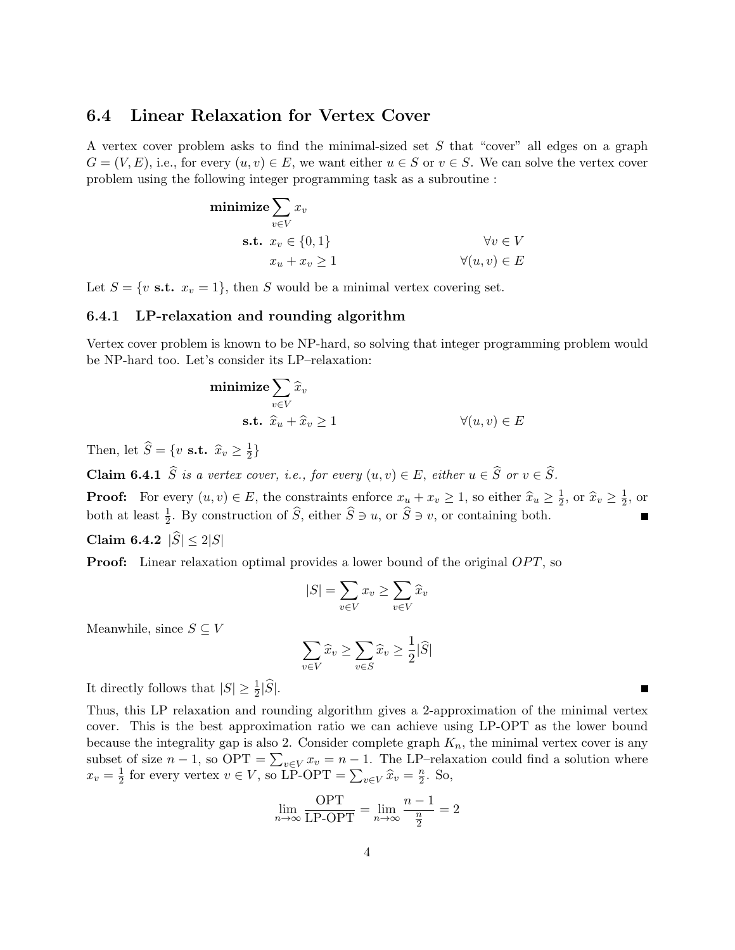### 6.4 Linear Relaxation for Vertex Cover

A vertex cover problem asks to find the minimal-sized set S that "cover" all edges on a graph  $G = (V, E)$ , i.e., for every  $(u, v) \in E$ , we want either  $u \in S$  or  $v \in S$ . We can solve the vertex cover problem using the following integer programming task as a subroutine :

$$
\begin{aligned}\n\text{minimize} & \sum_{v \in V} x_v \\
\text{s.t. } & x_v \in \{0, 1\} \\
& x_u + x_v \ge 1\n\end{aligned}\n\qquad\qquad\forall v \in V \\
\forall (u, v) \in E
$$

Let  $S = \{v \text{ s.t. } x_v = 1\}$ , then S would be a minimal vertex covering set.

### 6.4.1 LP-relaxation and rounding algorithm

Vertex cover problem is known to be NP-hard, so solving that integer programming problem would be NP-hard too. Let's consider its LP–relaxation:

$$
\begin{aligned}\n\text{minimize} & \sum_{v \in V} \hat{x}_v \\
\text{s.t.} & \hat{x}_u + \hat{x}_v \ge 1\n\end{aligned}\n\qquad\n\forall (u, v) \in E
$$

Then, let  $\widehat{S} = \{v \text{ s.t. } \widehat{x}_v \geq \frac{1}{2}\}$  $\frac{1}{2}$ 

**Claim 6.4.1**  $\widehat{S}$  is a vertex cover, i.e., for every  $(u, v) \in E$ , either  $u \in \widehat{S}$  or  $v \in \widehat{S}$ .

**Proof:** For every  $(u, v) \in E$ , the constraints enforce  $x_u + x_v \ge 1$ , so either  $\hat{x}_u \ge \frac{1}{2}$  $\frac{1}{2}$ , or  $\widehat{x}_v \geq \frac{1}{2}$  $\frac{1}{2}$ , or both at least  $\frac{1}{2}$ . By construction of  $\widehat{S}$ , either  $\widehat{S} \ni u$ , or  $\widehat{S} \ni v$ , or containing both.

Claim 6.4.2  $|\hat{S}| \le 2|S|$ 

**Proof:** Linear relaxation optimal provides a lower bound of the original  $OPT$ , so

$$
|S| = \sum_{v \in V} x_v \ge \sum_{v \in V} \widehat{x}_v
$$

Meanwhile, since  $S \subseteq V$ 

$$
\sum_{v \in V} \widehat{x}_v \ge \sum_{v \in S} \widehat{x}_v \ge \frac{1}{2} |\widehat{S}|
$$

It directly follows that  $|S| \geq \frac{1}{2}|\widehat{S}|$ .

Thus, this LP relaxation and rounding algorithm gives a 2-approximation of the minimal vertex cover. This is the best approximation ratio we can achieve using LP-OPT as the lower bound because the integrality gap is also 2. Consider complete graph  $K_n$ , the minimal vertex cover is any subset of size  $n-1$ , so  $\text{OPT} = \sum_{v \in V} x_v = n-1$ . The LP-relaxation could find a solution where  $x_v = \frac{1}{2}$  $\frac{1}{2}$  for every vertex  $v \in V$ , so LP-OPT =  $\sum_{v \in V} \hat{x}_v = \frac{n}{2}$  $\frac{n}{2}$ . So,

$$
\lim_{n \to \infty} \frac{\text{OPT}}{\text{LP-OPT}} = \lim_{n \to \infty} \frac{n-1}{\frac{n}{2}} = 2
$$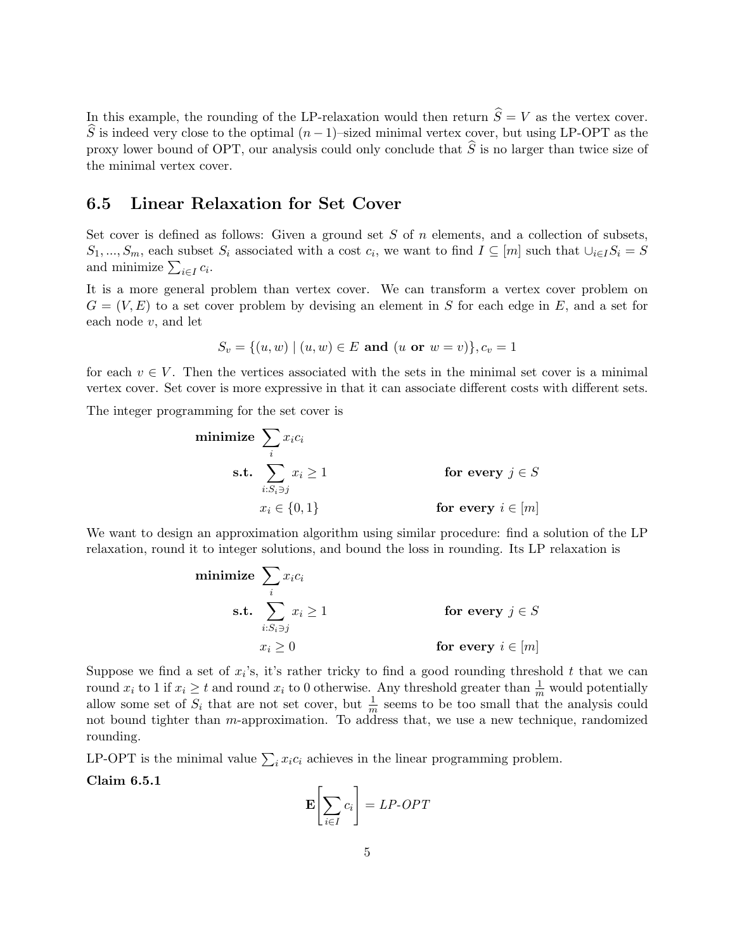In this example, the rounding of the LP-relaxation would then return  $\hat{S} = V$  as the vertex cover.  $\widehat{S}$  is indeed very close to the optimal  $(n-1)$ –sized minimal vertex cover, but using LP-OPT as the proxy lower bound of OPT, our analysis could only conclude that  $\hat{S}$  is no larger than twice size of the minimal vertex cover.

# 6.5 Linear Relaxation for Set Cover

Set cover is defined as follows: Given a ground set  $S$  of  $n$  elements, and a collection of subsets,  $S_1, ..., S_m$ , each subset  $S_i$  associated with a cost  $c_i$ , we want to find  $I \subseteq [m]$  such that  $\bigcup_{i \in I} S_i = S$ and minimize  $\sum_{i \in I} c_i$ .

It is a more general problem than vertex cover. We can transform a vertex cover problem on  $G = (V, E)$  to a set cover problem by devising an element in S for each edge in E, and a set for each node v, and let

$$
S_v = \{(u, w) \mid (u, w) \in E \text{ and } (u \text{ or } w = v)\}, c_v = 1
$$

for each  $v \in V$ . Then the vertices associated with the sets in the minimal set cover is a minimal vertex cover. Set cover is more expressive in that it can associate different costs with different sets.

The integer programming for the set cover is

minimize 
$$
\sum_{i} x_i c_i
$$
  
\ns.t.  $\sum_{i:S_i \ni j} x_i \ge 1$   
\n $x_i \in \{0,1\}$  for every  $i \in [m]$ 

We want to design an approximation algorithm using similar procedure: find a solution of the LP relaxation, round it to integer solutions, and bound the loss in rounding. Its LP relaxation is

minimize 
$$
\sum_{i} x_i c_i
$$
  
\ns.t.  $\sum_{i:S_i \ni j} x_i \ge 1$   
\n $x_i \ge 0$  for every  $i \in [m]$ 

Suppose we find a set of  $x_i$ 's, it's rather tricky to find a good rounding threshold t that we can round  $x_i$  to 1 if  $x_i \geq t$  and round  $x_i$  to 0 otherwise. Any threshold greater than  $\frac{1}{m}$  would potentially allow some set of  $S_i$  that are not set cover, but  $\frac{1}{m}$  seems to be too small that the analysis could not bound tighter than m-approximation. To address that, we use a new technique, randomized rounding.

LP-OPT is the minimal value  $\sum_i x_i c_i$  achieves in the linear programming problem.

Claim 6.5.1

$$
\mathbf{E}\left[\sum_{i\in I}c_i\right] = LP-OPT
$$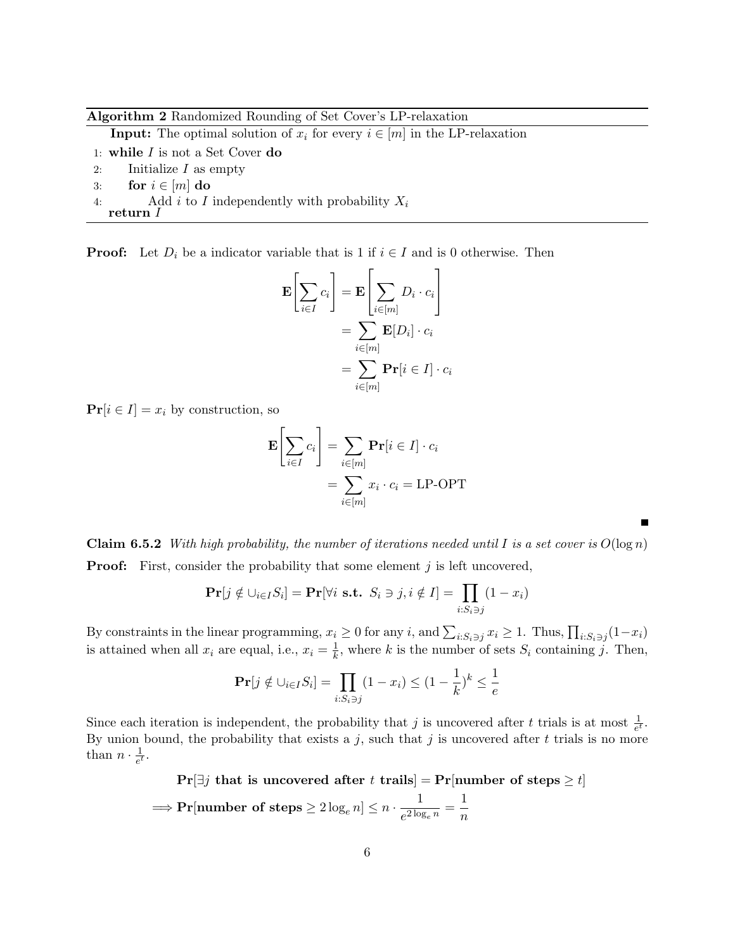Algorithm 2 Randomized Rounding of Set Cover's LP-relaxation

**Input:** The optimal solution of  $x_i$  for every  $i \in [m]$  in the LP-relaxation

- 1: while  $I$  is not a Set Cover do
- 2: Initialize  $I$  as empty
- 3: for  $i \in [m]$  do
- 4: Add i to I independently with probability  $X_i$
- return I

**Proof:** Let  $D_i$  be a indicator variable that is 1 if  $i \in I$  and is 0 otherwise. Then

$$
\mathbf{E}\left[\sum_{i\in I} c_i\right] = \mathbf{E}\left[\sum_{i\in[m]} D_i \cdot c_i\right]
$$

$$
= \sum_{i\in[m]} \mathbf{E}[D_i] \cdot c_i
$$

$$
= \sum_{i\in[m]} \mathbf{Pr}[i \in I] \cdot c_i
$$

 $Pr[i \in I] = x_i$  by construction, so

$$
\mathbf{E}\left[\sum_{i\in I}c_i\right] = \sum_{i\in[m]}\mathbf{Pr}[i \in I] \cdot c_i
$$

$$
= \sum_{i\in[m]}x_i \cdot c_i = \text{LP-OPT}
$$

**Claim 6.5.2** With high probability, the number of iterations needed until I is a set cover is  $O(\log n)$ **Proof:** First, consider the probability that some element  $j$  is left uncovered,

$$
\mathbf{Pr}[j \notin \bigcup_{i \in I} S_i] = \mathbf{Pr}[\forall i \text{ s.t. } S_i \ni j, i \notin I] = \prod_{i:S_i \ni j} (1 - x_i)
$$

By constraints in the linear programming,  $x_i \ge 0$  for any i, and  $\sum_{i:S_i \ni j} x_i \ge 1$ . Thus,  $\prod_{i:S_i \ni j} (1-x_i)$ is attained when all  $x_i$  are equal, i.e.,  $x_i = \frac{1}{k}$  $\frac{1}{k}$ , where k is the number of sets  $S_i$  containing j. Then,

$$
\mathbf{Pr}[j \notin \bigcup_{i \in I} S_i] = \prod_{i: S_i \ni j} (1 - x_i) \le (1 - \frac{1}{k})^k \le \frac{1}{e}
$$

Since each iteration is independent, the probability that j is uncovered after t trials is at most  $\frac{1}{e^t}$ . By union bound, the probability that exists a  $j$ , such that  $j$  is uncovered after  $t$  trials is no more than  $n \cdot \frac{1}{e^t}$  $\frac{1}{e^t}$ .

$$
\Pr[\exists j \text{ that is uncovered after } t \text{ trails}] = \Pr[\text{number of steps } \ge t]
$$
\n
$$
\implies \Pr[\text{number of steps } \ge 2 \log_e n] \le n \cdot \frac{1}{e^{2 \log_e n}} = \frac{1}{n}
$$